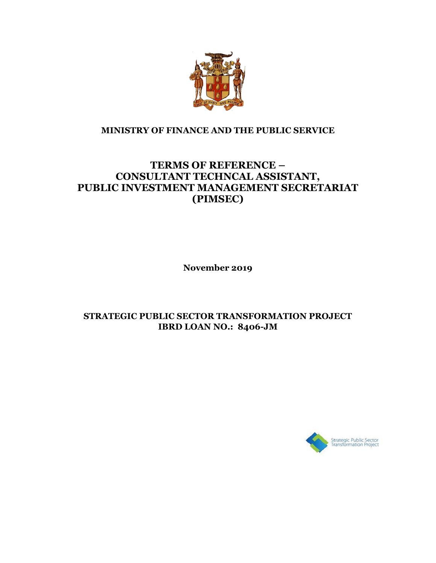

#### **MINISTRY OF FINANCE AND THE PUBLIC SERVICE**

# **TERMS OF REFERENCE – CONSULTANT TECHNCAL ASSISTANT, PUBLIC INVESTMENT MANAGEMENT SECRETARIAT (PIMSEC)**

**November 2019**

#### **STRATEGIC PUBLIC SECTOR TRANSFORMATION PROJECT IBRD LOAN NO.: 8406-JM**

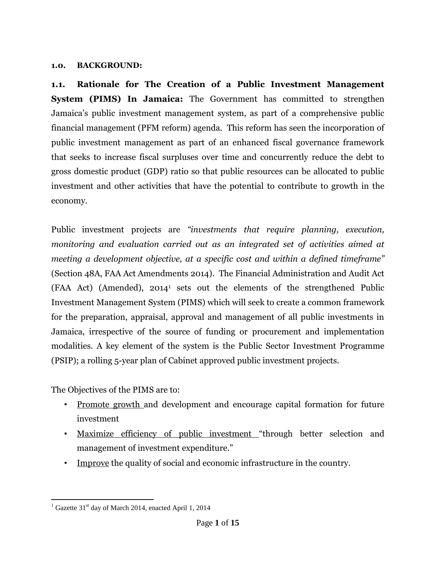#### **1.0. BACKGROUND:**

**1.1. Rationale for The Creation of a Public Investment Management System (PIMS) In Jamaica:** The Government has committed to strengthen Jamaica's public investment management system, as part of a comprehensive public financial management (PFM reform) agenda. This reform has seen the incorporation of public investment management as part of an enhanced fiscal governance framework that seeks to increase fiscal surpluses over time and concurrently reduce the debt to gross domestic product (GDP) ratio so that public resources can be allocated to public investment and other activities that have the potential to contribute to growth in the economy.

Public investment projects are *"investments that require planning, execution, monitoring and evaluation carried out as an integrated set of activities aimed at meeting a development objective, at a specific cost and within a defined timeframe"* (Section 48A, FAA Act Amendments 2014). The Financial Administration and Audit Act (FAA Act) (Amended), 2014<sup>1</sup> sets out the elements of the strengthened Public Investment Management System (PIMS) which will seek to create a common framework for the preparation, appraisal, approval and management of all public investments in Jamaica, irrespective of the source of funding or procurement and implementation modalities. A key element of the system is the Public Sector Investment Programme (PSIP); a rolling 5-year plan of Cabinet approved public investment projects.

The Objectives of the PIMS are to:

- Promote growth and development and encourage capital formation for future investment
- Maximize efficiency of public investment "through better selection and management of investment expenditure."
- Improve the quality of social and economic infrastructure in the country.

 $\overline{a}$ <sup>1</sup> Gazette 31<sup>st</sup> day of March 2014, enacted April 1, 2014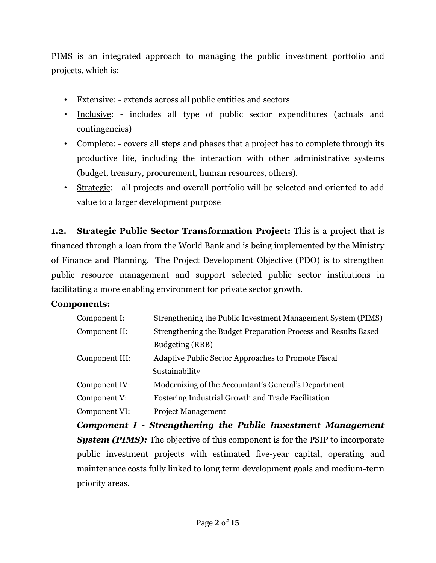PIMS is an integrated approach to managing the public investment portfolio and projects, which is:

- Extensive: extends across all public entities and sectors
- Inclusive: includes all type of public sector expenditures (actuals and contingencies)
- Complete: covers all steps and phases that a project has to complete through its productive life, including the interaction with other administrative systems (budget, treasury, procurement, human resources, others).
- Strategic: all projects and overall portfolio will be selected and oriented to add value to a larger development purpose

**1.2. Strategic Public Sector Transformation Project:** This is a project that is financed through a loan from the World Bank and is being implemented by the Ministry of Finance and Planning. The Project Development Objective (PDO) is to strengthen public resource management and support selected public sector institutions in facilitating a more enabling environment for private sector growth.

# **Components:**

| Component I:   | Strengthening the Public Investment Management System (PIMS)   |
|----------------|----------------------------------------------------------------|
| Component II:  | Strengthening the Budget Preparation Process and Results Based |
|                | Budgeting (RBB)                                                |
| Component III: | Adaptive Public Sector Approaches to Promote Fiscal            |
|                | Sustainability                                                 |
| Component IV:  | Modernizing of the Accountant's General's Department           |
| Component V:   | Fostering Industrial Growth and Trade Facilitation             |
| Component VI:  | <b>Project Management</b>                                      |
|                |                                                                |

*Component I - Strengthening the Public Investment Management System (PIMS):* The objective of this component is for the PSIP to incorporate public investment projects with estimated five-year capital, operating and maintenance costs fully linked to long term development goals and medium-term priority areas.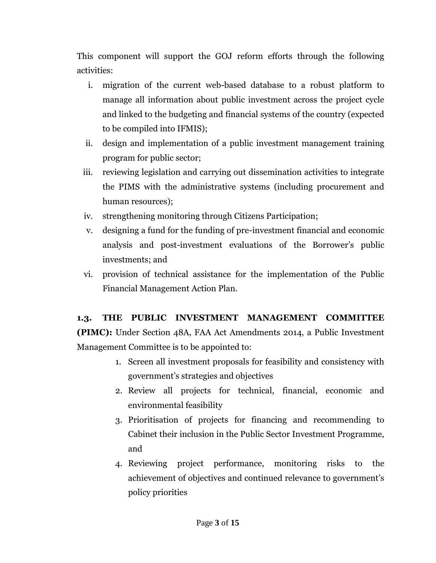This component will support the GOJ reform efforts through the following activities:

- i. migration of the current web-based database to a robust platform to manage all information about public investment across the project cycle and linked to the budgeting and financial systems of the country (expected to be compiled into IFMIS);
- ii. design and implementation of a public investment management training program for public sector;
- iii. reviewing legislation and carrying out dissemination activities to integrate the PIMS with the administrative systems (including procurement and human resources);
- iv. strengthening monitoring through Citizens Participation;
- v. designing a fund for the funding of pre-investment financial and economic analysis and post-investment evaluations of the Borrower's public investments; and
- vi. provision of technical assistance for the implementation of the Public Financial Management Action Plan.

# **1.3. THE PUBLIC INVESTMENT MANAGEMENT COMMITTEE**

**(PIMC):** Under Section 48A, FAA Act Amendments 2014, a Public Investment Management Committee is to be appointed to:

- 1. Screen all investment proposals for feasibility and consistency with government's strategies and objectives
- 2. Review all projects for technical, financial, economic and environmental feasibility
- 3. Prioritisation of projects for financing and recommending to Cabinet their inclusion in the Public Sector Investment Programme, and
- 4. Reviewing project performance, monitoring risks to the achievement of objectives and continued relevance to government's policy priorities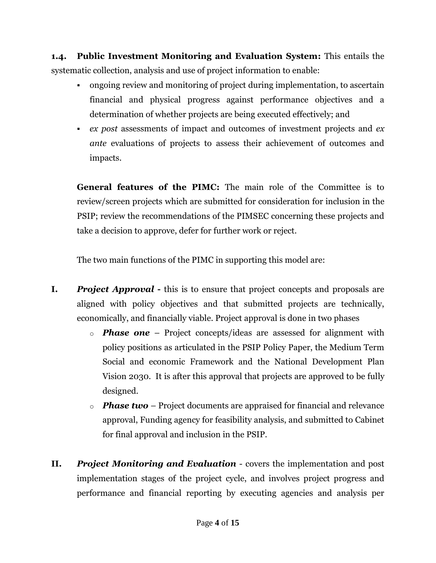**1.4. Public Investment Monitoring and Evaluation System:** This entails the systematic collection, analysis and use of project information to enable:

- ongoing review and monitoring of project during implementation, to ascertain financial and physical progress against performance objectives and a determination of whether projects are being executed effectively; and
- *ex post* assessments of impact and outcomes of investment projects and *ex ante* evaluations of projects to assess their achievement of outcomes and impacts.

**General features of the PIMC:** The main role of the Committee is to review/screen projects which are submitted for consideration for inclusion in the PSIP; review the recommendations of the PIMSEC concerning these projects and take a decision to approve, defer for further work or reject.

The two main functions of the PIMC in supporting this model are:

- **I.** *Project Approval* **this is to ensure that project concepts and proposals are** aligned with policy objectives and that submitted projects are technically, economically, and financially viable. Project approval is done in two phases
	- o *Phase one* Project concepts/ideas are assessed for alignment with policy positions as articulated in the PSIP Policy Paper, the Medium Term Social and economic Framework and the National Development Plan Vision 2030. It is after this approval that projects are approved to be fully designed.
	- o *Phase two* Project documents are appraised for financial and relevance approval, Funding agency for feasibility analysis, and submitted to Cabinet for final approval and inclusion in the PSIP.
- **II.** *Project Monitoring and Evaluation* covers the implementation and post implementation stages of the project cycle, and involves project progress and performance and financial reporting by executing agencies and analysis per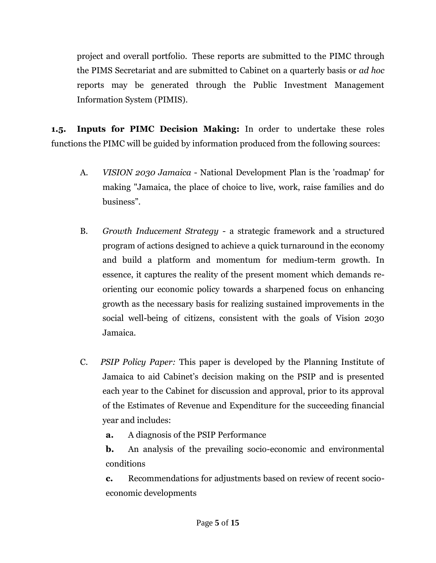project and overall portfolio. These reports are submitted to the PIMC through the PIMS Secretariat and are submitted to Cabinet on a quarterly basis or *ad hoc* reports may be generated through the Public Investment Management Information System (PIMIS).

**1.5. Inputs for PIMC Decision Making:** In order to undertake these roles functions the PIMC will be guided by information produced from the following sources:

- A. *VISION 2030 Jamaica* National Development Plan is the 'roadmap' for making "Jamaica, the place of choice to live, work, raise families and do business".
- B. *Growth Inducement Strategy* a strategic framework and a structured program of actions designed to achieve a quick turnaround in the economy and build a platform and momentum for medium-term growth. In essence, it captures the reality of the present moment which demands reorienting our economic policy towards a sharpened focus on enhancing growth as the necessary basis for realizing sustained improvements in the social well-being of citizens, consistent with the goals of Vision 2030 Jamaica.
- C.*PSIP Policy Paper:* This paper is developed by the Planning Institute of Jamaica to aid Cabinet's decision making on the PSIP and is presented each year to the Cabinet for discussion and approval, prior to its approval of the Estimates of Revenue and Expenditure for the succeeding financial year and includes:
	- **a.** A diagnosis of the PSIP Performance

**b.** An analysis of the prevailing socio-economic and environmental conditions

**c.** Recommendations for adjustments based on review of recent socioeconomic developments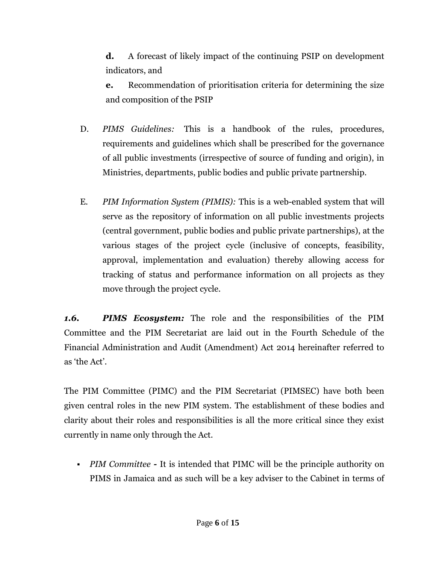**d.** A forecast of likely impact of the continuing PSIP on development indicators, and

**e.** Recommendation of prioritisation criteria for determining the size and composition of the PSIP

- D. *PIMS Guidelines:* This is a handbook of the rules, procedures, requirements and guidelines which shall be prescribed for the governance of all public investments (irrespective of source of funding and origin), in Ministries, departments, public bodies and public private partnership.
- E. *PIM Information System (PIMIS):* This is a web-enabled system that will serve as the repository of information on all public investments projects (central government, public bodies and public private partnerships), at the various stages of the project cycle (inclusive of concepts, feasibility, approval, implementation and evaluation) thereby allowing access for tracking of status and performance information on all projects as they move through the project cycle.

*1.6. PIMS Ecosystem:* The role and the responsibilities of the PIM Committee and the PIM Secretariat are laid out in the Fourth Schedule of the Financial Administration and Audit (Amendment) Act 2014 hereinafter referred to as 'the Act'.

The PIM Committee (PIMC) and the PIM Secretariat (PIMSEC) have both been given central roles in the new PIM system. The establishment of these bodies and clarity about their roles and responsibilities is all the more critical since they exist currently in name only through the Act.

 *PIM Committee -* It is intended that PIMC will be the principle authority on PIMS in Jamaica and as such will be a key adviser to the Cabinet in terms of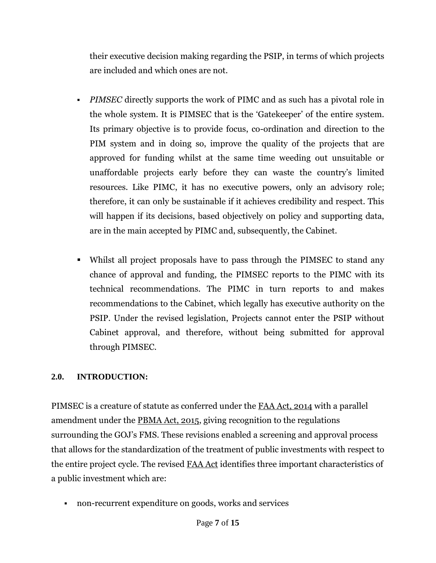their executive decision making regarding the PSIP, in terms of which projects are included and which ones are not.

- *PIMSEC* directly supports the work of PIMC and as such has a pivotal role in the whole system. It is PIMSEC that is the 'Gatekeeper' of the entire system. Its primary objective is to provide focus, co-ordination and direction to the PIM system and in doing so, improve the quality of the projects that are approved for funding whilst at the same time weeding out unsuitable or unaffordable projects early before they can waste the country's limited resources. Like PIMC, it has no executive powers, only an advisory role; therefore, it can only be sustainable if it achieves credibility and respect. This will happen if its decisions, based objectively on policy and supporting data, are in the main accepted by PIMC and, subsequently, the Cabinet.
- Whilst all project proposals have to pass through the PIMSEC to stand any chance of approval and funding, the PIMSEC reports to the PIMC with its technical recommendations. The PIMC in turn reports to and makes recommendations to the Cabinet, which legally has executive authority on the PSIP. Under the revised legislation, Projects cannot enter the PSIP without Cabinet approval, and therefore, without being submitted for approval through PIMSEC.

# **2.0. INTRODUCTION:**

PIMSEC is a creature of statute as conferred under the FAA Act, 2014 with a parallel amendment under the PBMA Act, 2015, giving recognition to the regulations surrounding the GOJ's FMS. These revisions enabled a screening and approval process that allows for the standardization of the treatment of public investments with respect to the entire project cycle. The revised FAA Act identifies three important characteristics of a public investment which are:

non-recurrent expenditure on goods, works and services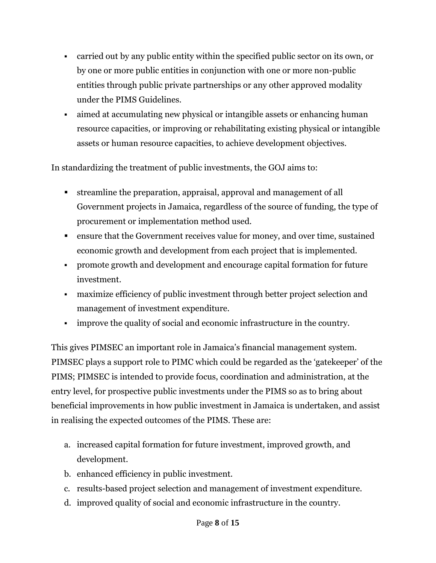- carried out by any public entity within the specified public sector on its own, or by one or more public entities in conjunction with one or more non-public entities through public private partnerships or any other approved modality under the PIMS Guidelines.
- aimed at accumulating new physical or intangible assets or enhancing human resource capacities, or improving or rehabilitating existing physical or intangible assets or human resource capacities, to achieve development objectives.

In standardizing the treatment of public investments, the GOJ aims to:

- streamline the preparation, appraisal, approval and management of all Government projects in Jamaica, regardless of the source of funding, the type of procurement or implementation method used.
- ensure that the Government receives value for money, and over time, sustained economic growth and development from each project that is implemented.
- promote growth and development and encourage capital formation for future investment.
- maximize efficiency of public investment through better project selection and management of investment expenditure.
- improve the quality of social and economic infrastructure in the country.

This gives PIMSEC an important role in Jamaica's financial management system. PIMSEC plays a support role to PIMC which could be regarded as the 'gatekeeper' of the PIMS; PIMSEC is intended to provide focus, coordination and administration, at the entry level, for prospective public investments under the PIMS so as to bring about beneficial improvements in how public investment in Jamaica is undertaken, and assist in realising the expected outcomes of the PIMS. These are:

- a. increased capital formation for future investment, improved growth, and development.
- b. enhanced efficiency in public investment.
- c. results-based project selection and management of investment expenditure.
- d. improved quality of social and economic infrastructure in the country.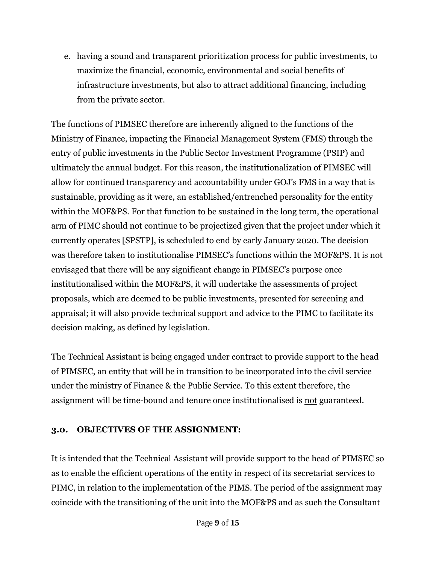e. having a sound and transparent prioritization process for public investments, to maximize the financial, economic, environmental and social benefits of infrastructure investments, but also to attract additional financing, including from the private sector.

The functions of PIMSEC therefore are inherently aligned to the functions of the Ministry of Finance, impacting the Financial Management System (FMS) through the entry of public investments in the Public Sector Investment Programme (PSIP) and ultimately the annual budget. For this reason, the institutionalization of PIMSEC will allow for continued transparency and accountability under GOJ's FMS in a way that is sustainable, providing as it were, an established/entrenched personality for the entity within the MOF&PS. For that function to be sustained in the long term, the operational arm of PIMC should not continue to be projectized given that the project under which it currently operates [SPSTP], is scheduled to end by early January 2020. The decision was therefore taken to institutionalise PIMSEC's functions within the MOF&PS. It is not envisaged that there will be any significant change in PIMSEC's purpose once institutionalised within the MOF&PS, it will undertake the assessments of project proposals, which are deemed to be public investments, presented for screening and appraisal; it will also provide technical support and advice to the PIMC to facilitate its decision making, as defined by legislation*.*

The Technical Assistant is being engaged under contract to provide support to the head of PIMSEC, an entity that will be in transition to be incorporated into the civil service under the ministry of Finance & the Public Service. To this extent therefore, the assignment will be time-bound and tenure once institutionalised is not guaranteed.

# **3.0. OBJECTIVES OF THE ASSIGNMENT:**

It is intended that the Technical Assistant will provide support to the head of PIMSEC so as to enable the efficient operations of the entity in respect of its secretariat services to PIMC, in relation to the implementation of the PIMS. The period of the assignment may coincide with the transitioning of the unit into the MOF&PS and as such the Consultant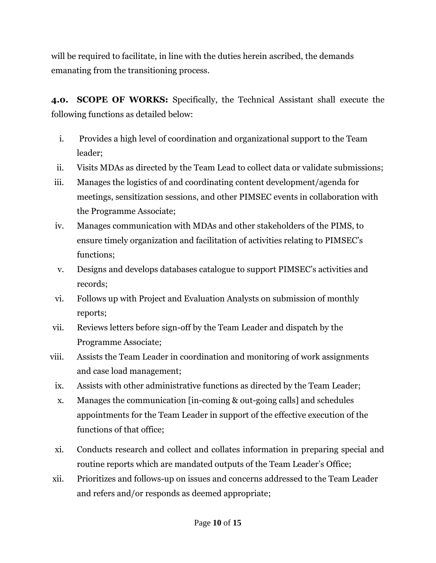will be required to facilitate, in line with the duties herein ascribed, the demands emanating from the transitioning process.

**4.0. SCOPE OF WORKS:** Specifically, the Technical Assistant shall execute the following functions as detailed below:

- i. Provides a high level of coordination and organizational support to the Team leader;
- ii. Visits MDAs as directed by the Team Lead to collect data or validate submissions;
- iii. Manages the logistics of and coordinating content development/agenda for meetings, sensitization sessions, and other PIMSEC events in collaboration with the Programme Associate;
- iv. Manages communication with MDAs and other stakeholders of the PIMS, to ensure timely organization and facilitation of activities relating to PIMSEC's functions;
- v. Designs and develops databases catalogue to support PIMSEC's activities and records;
- vi. Follows up with Project and Evaluation Analysts on submission of monthly reports;
- vii. Reviews letters before sign-off by the Team Leader and dispatch by the Programme Associate;
- viii. Assists the Team Leader in coordination and monitoring of work assignments and case load management;
	- ix. Assists with other administrative functions as directed by the Team Leader;
	- x. Manages the communication [in-coming & out-going calls] and schedules appointments for the Team Leader in support of the effective execution of the functions of that office;
- xi. Conducts research and collect and collates information in preparing special and routine reports which are mandated outputs of the Team Leader's Office;
- xii. Prioritizes and follows-up on issues and concerns addressed to the Team Leader and refers and/or responds as deemed appropriate;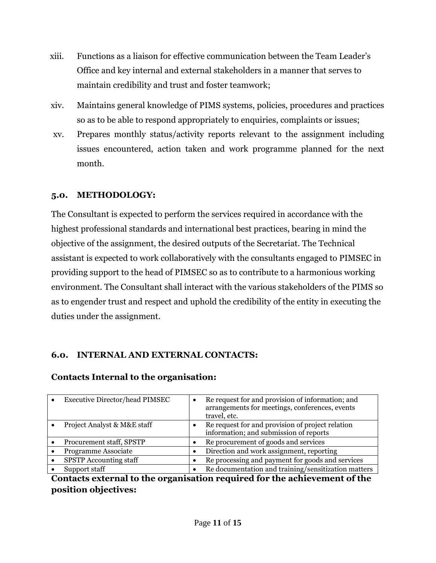- xiii. Functions as a liaison for effective communication between the Team Leader's Office and key internal and external stakeholders in a manner that serves to maintain credibility and trust and foster teamwork;
- xiv. Maintains general knowledge of PIMS systems, policies, procedures and practices so as to be able to respond appropriately to enquiries, complaints or issues;
- xv. Prepares monthly status/activity reports relevant to the assignment including issues encountered, action taken and work programme planned for the next month.

# **5.0. METHODOLOGY:**

The Consultant is expected to perform the services required in accordance with the highest professional standards and international best practices, bearing in mind the objective of the assignment, the desired outputs of the Secretariat. The Technical assistant is expected to work collaboratively with the consultants engaged to PIMSEC in providing support to the head of PIMSEC so as to contribute to a harmonious working environment. The Consultant shall interact with the various stakeholders of the PIMS so as to engender trust and respect and uphold the credibility of the entity in executing the duties under the assignment.

# **6.0. INTERNAL AND EXTERNAL CONTACTS:**

# **Contacts Internal to the organisation:**

| <b>Executive Director/head PIMSEC</b> | Re request for and provision of information; and<br>arrangements for meetings, conferences, events<br>travel, etc. |
|---------------------------------------|--------------------------------------------------------------------------------------------------------------------|
| Project Analyst & M&E staff           | Re request for and provision of project relation<br>information; and submission of reports                         |
| Procurement staff, SPSTP              | Re procurement of goods and services                                                                               |
| Programme Associate                   | Direction and work assignment, reporting                                                                           |
| <b>SPSTP</b> Accounting staff         | Re processing and payment for goods and services                                                                   |
| Support staff                         | Re documentation and training/sensitization matters                                                                |

#### **Contacts external to the organisation required for the achievement of the position objectives:**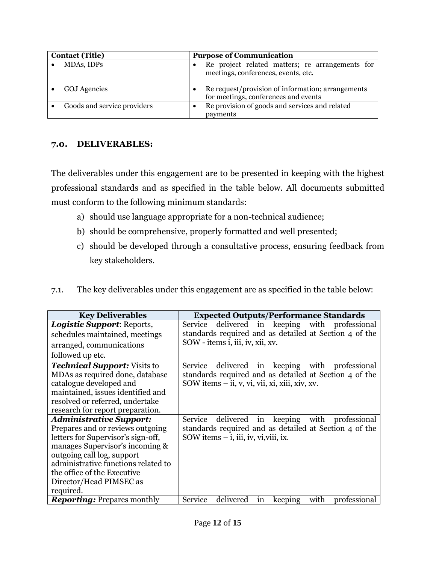| <b>Contact (Title)</b>      |           | <b>Purpose of Communication</b>                                                           |
|-----------------------------|-----------|-------------------------------------------------------------------------------------------|
| MDAs, IDPs                  | $\bullet$ | Re project related matters; re arrangements for<br>meetings, conferences, events, etc.    |
| <b>GOJ</b> Agencies         |           | Re request/provision of information; arrangements<br>for meetings, conferences and events |
| Goods and service providers |           | Re provision of goods and services and related<br>payments                                |

#### **7.0. DELIVERABLES:**

The deliverables under this engagement are to be presented in keeping with the highest professional standards and as specified in the table below. All documents submitted must conform to the following minimum standards:

- a) should use language appropriate for a non-technical audience;
- b) should be comprehensive, properly formatted and well presented;
- c) should be developed through a consultative process, ensuring feedback from key stakeholders.

| 7.1. |  | The key deliverables under this engagement are as specified in the table below: |
|------|--|---------------------------------------------------------------------------------|
|      |  |                                                                                 |

| <b>Key Deliverables</b>                                                                                                                                                                                                                                                          | <b>Expected Outputs/Performance Standards</b>                                                                                                                       |
|----------------------------------------------------------------------------------------------------------------------------------------------------------------------------------------------------------------------------------------------------------------------------------|---------------------------------------------------------------------------------------------------------------------------------------------------------------------|
| <i>Logistic Support: Reports,</i>                                                                                                                                                                                                                                                | delivered in keeping with professional<br>Service                                                                                                                   |
| schedules maintained, meetings                                                                                                                                                                                                                                                   | standards required and as detailed at Section 4 of the                                                                                                              |
| arranged, communications                                                                                                                                                                                                                                                         | SOW - items i, iii, iv, xii, xv.                                                                                                                                    |
| followed up etc.                                                                                                                                                                                                                                                                 |                                                                                                                                                                     |
| <b>Technical Support:</b> Visits to<br>MDAs as required done, database<br>catalogue developed and<br>maintained, issues identified and<br>resolved or referred, undertake<br>research for report preparation.                                                                    | Service<br>keeping<br>with professional<br>delivered in<br>standards required and as detailed at Section 4 of the<br>SOW items – ii, v, vi, vii, xi, xiii, xiv, xv. |
| Administrative Support:<br>Prepares and or reviews outgoing<br>letters for Supervisor's sign-off,<br>manages Supervisor's incoming &<br>outgoing call log, support<br>administrative functions related to<br>the office of the Executive<br>Director/Head PIMSEC as<br>required. | Service<br>with professional<br>keeping<br>delivered in<br>standards required and as detailed at Section 4 of the<br>SOW items $-$ i, iii, iv, vi, viii, ix.        |
| <b>Reporting:</b> Prepares monthly                                                                                                                                                                                                                                               | Service<br>with<br>delivered<br>professional<br>keeping<br>in                                                                                                       |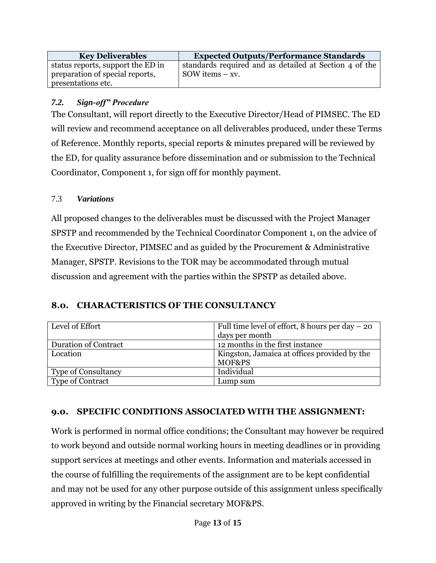| <b>Key Deliverables</b>                                              | <b>Expected Outputs/Performance Standards</b>                                |
|----------------------------------------------------------------------|------------------------------------------------------------------------------|
| status reports, support the ED in<br>preparation of special reports, | standards required and as detailed at Section 4 of the<br>SOW items $- xy$ . |
| presentations etc.                                                   |                                                                              |

#### *7.2. Sign-off" Procedure*

The Consultant, will report directly to the Executive Director/Head of PIMSEC. The ED will review and recommend acceptance on all deliverables produced, under these Terms of Reference. Monthly reports, special reports & minutes prepared will be reviewed by the ED, for quality assurance before dissemination and or submission to the Technical Coordinator, Component 1, for sign off for monthly payment.

#### 7.3 *Variations*

All proposed changes to the deliverables must be discussed with the Project Manager SPSTP and recommended by the Technical Coordinator Component 1, on the advice of the Executive Director, PIMSEC and as guided by the Procurement & Administrative Manager, SPSTP. Revisions to the TOR may be accommodated through mutual discussion and agreement with the parties within the SPSTP as detailed above.

#### **8.0. CHARACTERISTICS OF THE CONSULTANCY**

| Level of Effort            | Full time level of effort, 8 hours per day $-20$ |
|----------------------------|--------------------------------------------------|
|                            | days per month                                   |
| Duration of Contract       | 12 months in the first instance                  |
| Location                   | Kingston, Jamaica at offices provided by the     |
|                            | MOF&PS                                           |
| <b>Type of Consultancy</b> | Individual                                       |
| <b>Type of Contract</b>    | Lump sum                                         |

#### **9.0. SPECIFIC CONDITIONS ASSOCIATED WITH THE ASSIGNMENT:**

Work is performed in normal office conditions; the Consultant may however be required to work beyond and outside normal working hours in meeting deadlines or in providing support services at meetings and other events. Information and materials accessed in the course of fulfilling the requirements of the assignment are to be kept confidential and may not be used for any other purpose outside of this assignment unless specifically approved in writing by the Financial secretary MOF&PS.